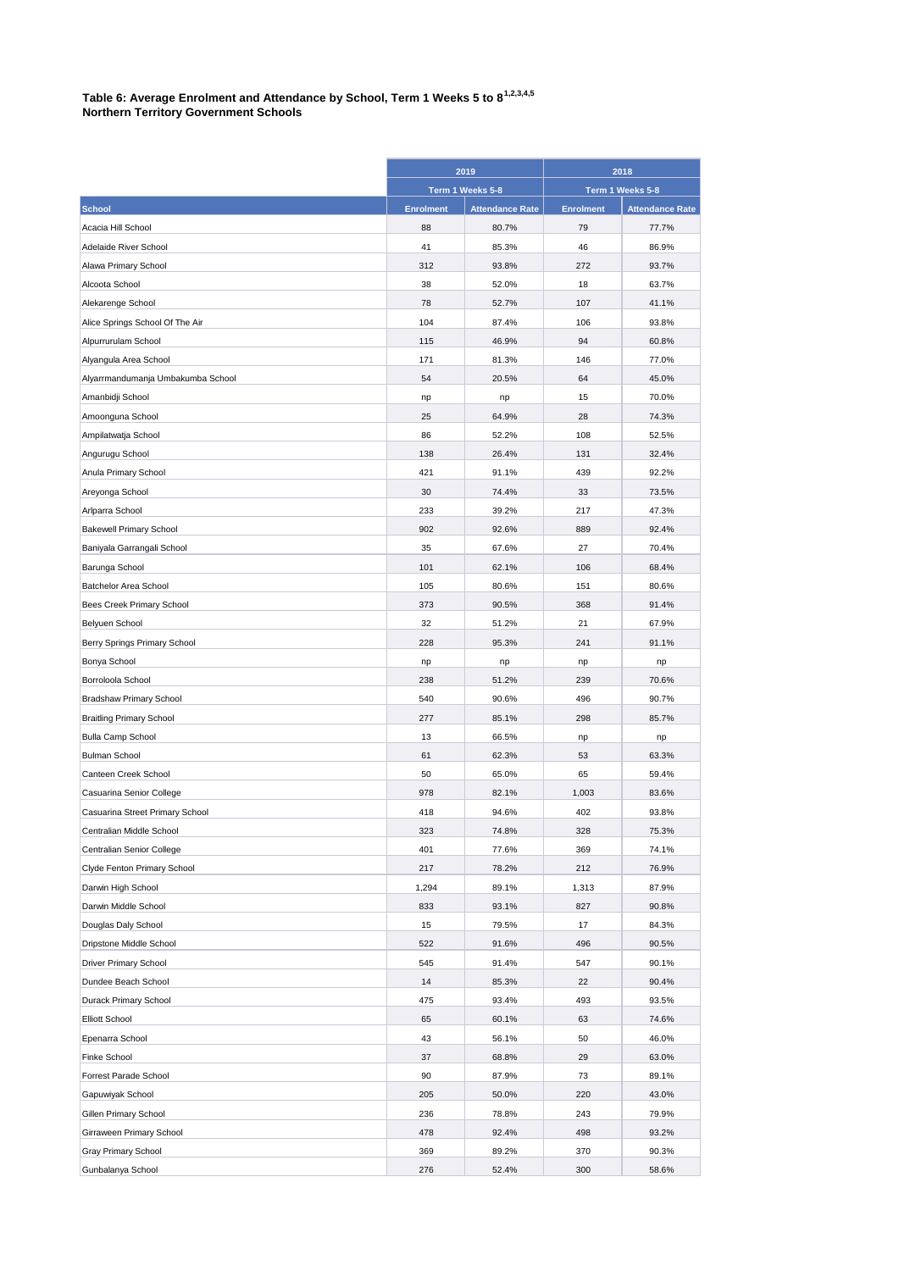## **Table 6: Average Enrolment and Attendance by School, Term 1 Weeks 5 to 81,2,3,4,5 Northern Territory Government Schools**

|                                   | 2019<br>Term 1 Weeks 5-8 |                        | 2018<br>Term 1 Weeks 5-8 |                        |
|-----------------------------------|--------------------------|------------------------|--------------------------|------------------------|
|                                   |                          |                        |                          |                        |
| <b>School</b>                     | <b>Enrolment</b>         | <b>Attendance Rate</b> | <b>Enrolment</b>         | <b>Attendance Rate</b> |
| Acacia Hill School                | 88                       | 80.7%                  | 79                       | 77.7%                  |
| Adelaide River School             | 41                       | 85.3%                  | 46                       | 86.9%                  |
| Alawa Primary School              | 312                      | 93.8%                  | 272                      | 93.7%                  |
| Alcoota School                    | 38                       | 52.0%                  | 18                       | 63.7%                  |
| Alekarenge School                 | 78                       | 52.7%                  | 107                      | 41.1%                  |
| Alice Springs School Of The Air   | 104                      | 87.4%                  | 106                      | 93.8%                  |
| Alpurrurulam School               | 115                      | 46.9%                  | 94                       | 60.8%                  |
| Alyangula Area School             | 171                      | 81.3%                  | 146                      | 77.0%                  |
| Alyarrmandumanja Umbakumba School | 54                       | 20.5%                  | 64                       | 45.0%                  |
| Amanbidji School                  | np                       | np                     | 15                       | 70.0%                  |
| Amoonguna School                  | 25                       | 64.9%                  | 28                       | 74.3%                  |
| Ampilatwatja School               | 86                       | 52.2%                  | 108                      | 52.5%                  |
| Angurugu School                   | 138                      | 26.4%                  | 131                      | 32.4%                  |
| Anula Primary School              | 421                      | 91.1%                  | 439                      | 92.2%                  |
| Areyonga School                   | 30                       | 74.4%                  | 33                       | 73.5%                  |
| Arlparra School                   | 233                      | 39.2%                  | 217                      | 47.3%                  |
| <b>Bakewell Primary School</b>    | 902                      | 92.6%                  | 889                      | 92.4%                  |
| Baniyala Garrangali School        | 35                       | 67.6%                  | 27                       | 70.4%                  |
| Barunga School                    | 101                      | 62.1%                  | 106                      | 68.4%                  |
| Batchelor Area School             | 105                      | 80.6%                  | 151                      | 80.6%                  |
| Bees Creek Primary School         | 373                      | 90.5%                  | 368                      | 91.4%                  |
| Belyuen School                    | 32                       | 51.2%                  | 21                       | 67.9%                  |
| Berry Springs Primary School      | 228                      | 95.3%                  | 241                      | 91.1%                  |
| Bonya School                      | np                       | np                     | np                       | np                     |
| Borroloola School                 | 238                      | 51.2%                  | 239                      | 70.6%                  |
| <b>Bradshaw Primary School</b>    | 540                      | 90.6%                  | 496                      | 90.7%                  |
| <b>Braitling Primary School</b>   | 277                      | 85.1%                  | 298                      | 85.7%                  |
| <b>Bulla Camp School</b>          | 13                       | 66.5%                  | np                       | np                     |
| <b>Bulman School</b>              | 61                       | 62.3%                  | 53                       | 63.3%                  |
| Canteen Creek School              | 50                       | 65.0%                  | 65                       | 59.4%                  |
| Casuarina Senior College          | 978                      | 82.1%                  | 1,003                    | 83.6%                  |
| Casuarina Street Primary School   | 418                      | 94.6%                  | 402                      | 93.8%                  |
| Centralian Middle School          | 323                      | 74.8%                  | 328                      | 75.3%                  |
| Centralian Senior College         | 401                      | 77.6%                  | 369                      | 74.1%                  |
| Clyde Fenton Primary School       | 217                      | 78.2%                  | 212                      | 76.9%                  |
| Darwin High School                | 1,294                    | 89.1%                  | 1,313                    | 87.9%                  |
| Darwin Middle School              | 833                      | 93.1%                  | 827                      | 90.8%                  |
| Douglas Daly School               | 15                       | 79.5%                  | 17                       | 84.3%                  |
| Dripstone Middle School           | 522                      | 91.6%                  | 496                      | 90.5%                  |
| <b>Driver Primary School</b>      | 545                      | 91.4%                  | 547                      | 90.1%                  |
| Dundee Beach School               | 14                       | 85.3%                  | 22                       | 90.4%                  |
| Durack Primary School             | 475                      | 93.4%                  | 493                      | 93.5%                  |
| <b>Elliott School</b>             | 65                       | 60.1%                  | 63                       | 74.6%                  |
| Epenarra School                   | 43                       | 56.1%                  | 50                       | 46.0%                  |
| Finke School                      | 37                       | 68.8%                  | 29                       | 63.0%                  |
| Forrest Parade School             | 90                       | 87.9%                  | 73                       | 89.1%                  |
| Gapuwiyak School                  | 205                      | 50.0%                  | 220                      | 43.0%                  |
| Gillen Primary School             | 236                      | 78.8%                  | 243                      | 79.9%                  |
| Girraween Primary School          | 478                      | 92.4%                  | 498                      | 93.2%                  |
| Gray Primary School               | 369                      | 89.2%                  | 370                      | 90.3%                  |
| Gunbalanya School                 | 276                      | 52.4%                  | 300                      | 58.6%                  |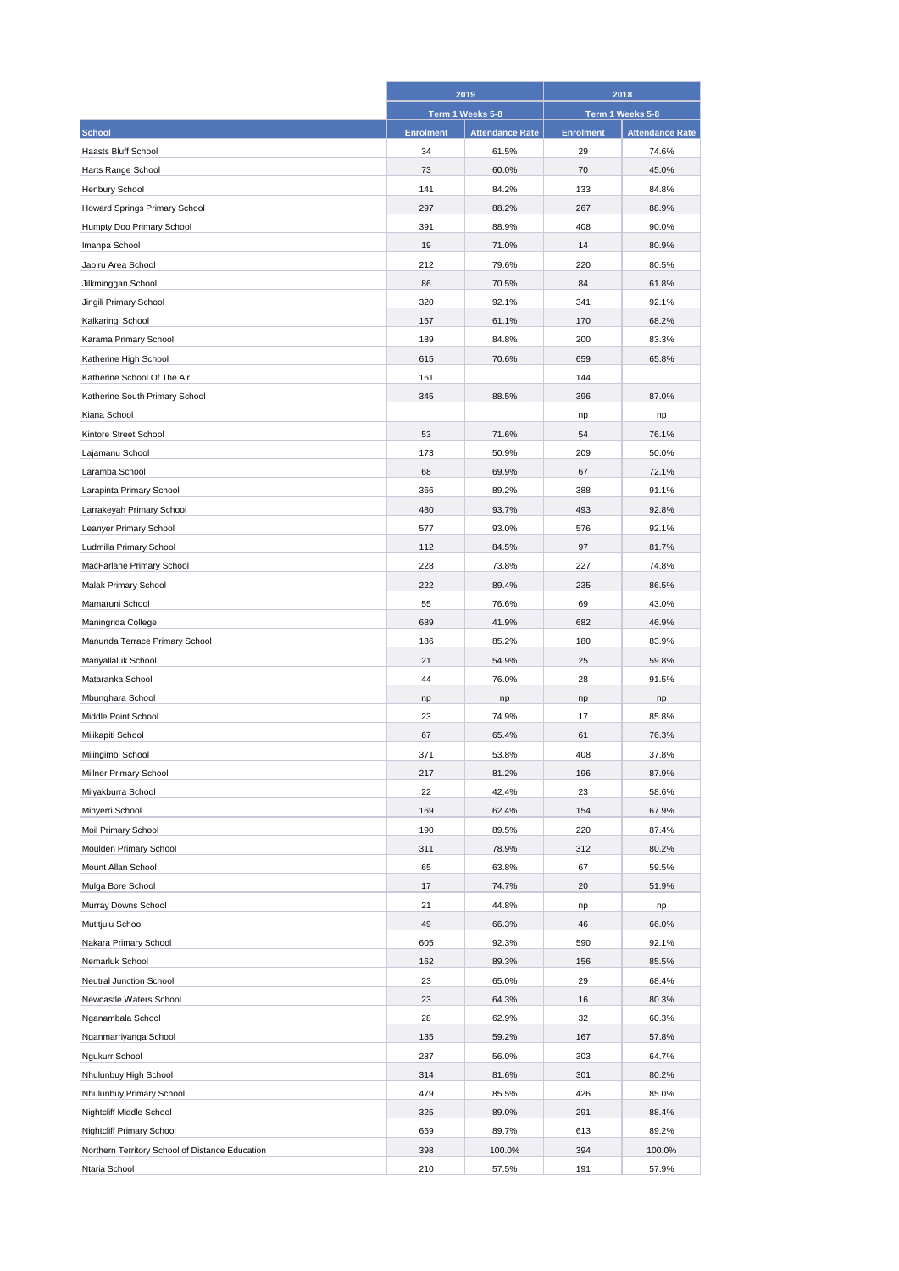|                                                 | 2019<br>Term 1 Weeks 5-8 |                        | 2018<br>Term 1 Weeks 5-8 |                        |
|-------------------------------------------------|--------------------------|------------------------|--------------------------|------------------------|
|                                                 |                          |                        |                          |                        |
| <b>School</b>                                   | <b>Enrolment</b>         | <b>Attendance Rate</b> | <b>Enrolment</b>         | <b>Attendance Rate</b> |
| <b>Haasts Bluff School</b>                      | 34                       | 61.5%                  | 29                       | 74.6%                  |
| Harts Range School                              | 73                       | 60.0%                  | 70                       | 45.0%                  |
| Henbury School                                  | 141                      | 84.2%                  | 133                      | 84.8%                  |
| Howard Springs Primary School                   | 297                      | 88.2%                  | 267                      | 88.9%                  |
| Humpty Doo Primary School                       | 391                      | 88.9%                  | 408                      | 90.0%                  |
| Imanpa School                                   | 19                       | 71.0%                  | 14                       | 80.9%                  |
| Jabiru Area School                              | 212                      | 79.6%                  | 220                      | 80.5%                  |
| Jilkminggan School                              | 86                       | 70.5%                  | 84                       | 61.8%                  |
| Jingili Primary School                          | 320                      | 92.1%                  | 341                      | 92.1%                  |
| Kalkaringi School                               | 157                      | 61.1%                  | 170                      | 68.2%                  |
| Karama Primary School                           | 189                      | 84.8%                  | 200                      | 83.3%                  |
| Katherine High School                           | 615                      | 70.6%                  | 659                      | 65.8%                  |
| Katherine School Of The Air                     | 161                      |                        | 144                      |                        |
| Katherine South Primary School                  | 345                      | 88.5%                  | 396                      | 87.0%                  |
| Kiana School                                    |                          |                        | np                       | np                     |
| Kintore Street School                           | 53                       | 71.6%                  | 54                       | 76.1%                  |
| Lajamanu School                                 | 173                      | 50.9%                  | 209                      | 50.0%                  |
| Laramba School                                  | 68                       | 69.9%                  | 67                       | 72.1%                  |
| Larapinta Primary School                        | 366                      | 89.2%                  | 388                      | 91.1%                  |
| Larrakeyah Primary School                       | 480                      | 93.7%                  | 493                      | 92.8%                  |
| Leanyer Primary School                          | 577                      | 93.0%                  | 576                      | 92.1%                  |
| Ludmilla Primary School                         | 112                      | 84.5%                  | 97                       | 81.7%                  |
| MacFarlane Primary School                       | 228                      | 73.8%                  | 227                      | 74.8%                  |
| Malak Primary School                            | 222                      | 89.4%                  | 235                      | 86.5%                  |
| Mamaruni School                                 | 55                       | 76.6%                  | 69                       | 43.0%                  |
| Maningrida College                              | 689                      | 41.9%                  | 682                      | 46.9%                  |
| Manunda Terrace Primary School                  | 186                      | 85.2%                  | 180                      | 83.9%                  |
| Manyallaluk School                              | 21                       | 54.9%                  | 25                       | 59.8%                  |
| Mataranka School                                | 44                       | 76.0%                  | 28                       | 91.5%                  |
| Mbunghara School                                | np                       | np                     | np                       | np                     |
| Middle Point School                             | 23                       | 74.9%                  | 17                       | 85.8%                  |
| Milikapiti School                               | 67                       | 65.4%                  | 61                       | 76.3%                  |
| Milingimbi School                               | 371                      | 53.8%                  | 408                      | 37.8%                  |
| Millner Primary School                          | 217                      | 81.2%                  | 196                      | 87.9%                  |
| Milyakburra School                              | 22                       | 42.4%                  | 23                       | 58.6%                  |
| Minyerri School                                 | 169                      | 62.4%                  | 154                      | 67.9%                  |
| Moil Primary School                             | 190                      | 89.5%                  | 220                      | 87.4%                  |
| Moulden Primary School                          | 311                      | 78.9%                  | 312                      | 80.2%                  |
| Mount Allan School                              | 65                       | 63.8%                  | 67                       | 59.5%                  |
| Mulga Bore School                               | 17                       | 74.7%                  | 20                       | 51.9%                  |
| Murray Downs School                             | 21                       | 44.8%                  | np                       | np                     |
| Mutitjulu School                                | 49                       | 66.3%                  | 46                       | 66.0%                  |
| Nakara Primary School                           | 605                      | 92.3%                  | 590                      | 92.1%                  |
| Nemarluk School                                 | 162                      | 89.3%                  | 156                      | 85.5%                  |
| Neutral Junction School                         | 23                       | 65.0%                  | 29                       | 68.4%                  |
| Newcastle Waters School                         | 23                       | 64.3%                  | 16                       | 80.3%                  |
| Nganambala School                               | 28                       | 62.9%                  | 32                       | 60.3%                  |
| Nganmarriyanga School                           | 135                      | 59.2%                  | 167                      | 57.8%                  |
| Ngukurr School                                  | 287                      | 56.0%                  | 303                      | 64.7%                  |
| Nhulunbuy High School                           | 314                      | 81.6%                  | 301                      | 80.2%                  |
| Nhulunbuy Primary School                        | 479                      | 85.5%                  | 426                      | 85.0%                  |
| Nightcliff Middle School                        | 325                      | 89.0%                  | 291                      | 88.4%                  |
| Nightcliff Primary School                       | 659                      | 89.7%                  | 613                      | 89.2%                  |
| Northern Territory School of Distance Education | 398                      | 100.0%                 | 394                      | 100.0%                 |
| Ntaria School                                   | 210                      | 57.5%                  | 191                      | 57.9%                  |